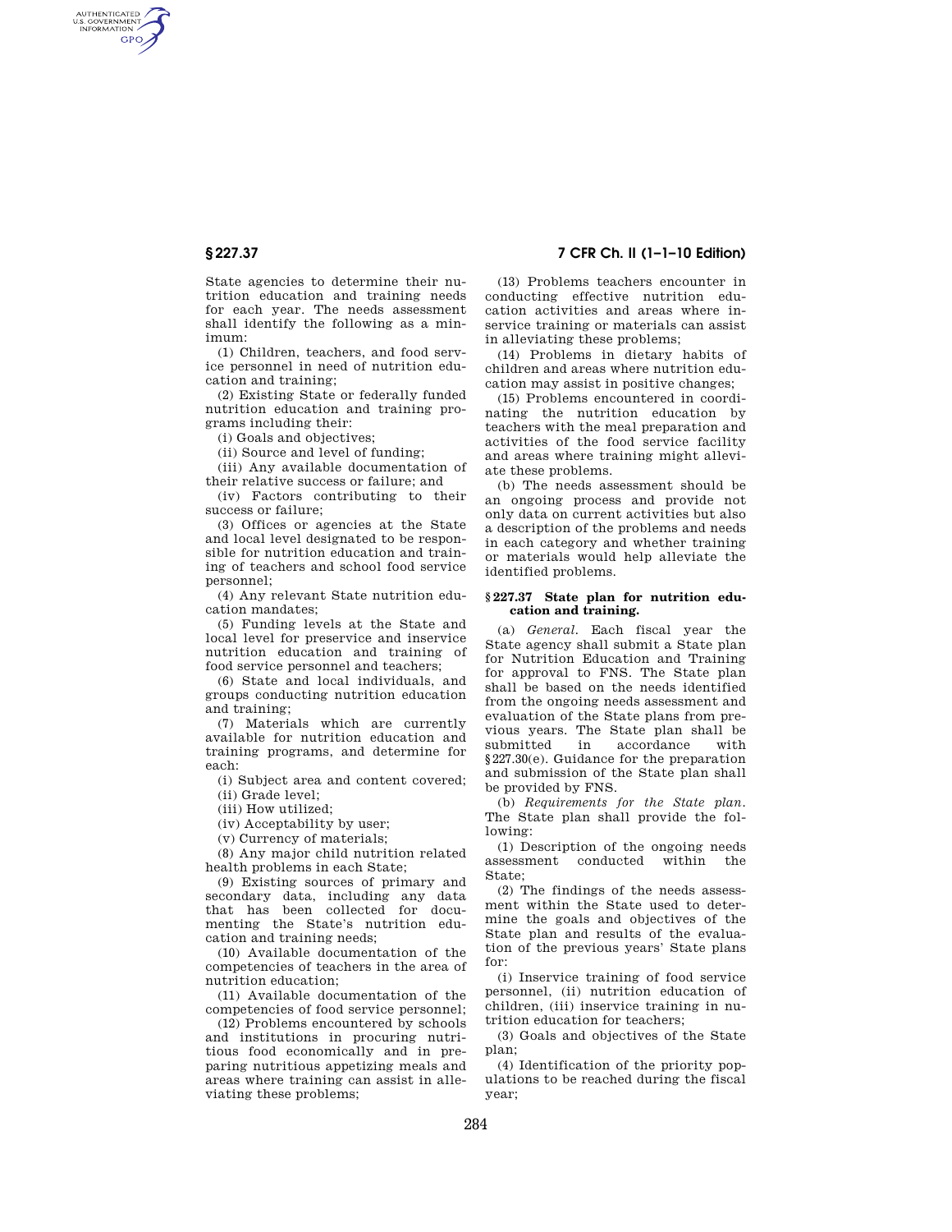AUTHENTICATED<br>U.S. GOVERNMENT<br>INFORMATION GPO

> State agencies to determine their nutrition education and training needs for each year. The needs assessment shall identify the following as a minimum:

> (1) Children, teachers, and food service personnel in need of nutrition education and training;

> (2) Existing State or federally funded nutrition education and training programs including their:

(i) Goals and objectives;

(ii) Source and level of funding;

(iii) Any available documentation of their relative success or failure; and

(iv) Factors contributing to their success or failure;

(3) Offices or agencies at the State and local level designated to be responsible for nutrition education and training of teachers and school food service personnel;

(4) Any relevant State nutrition education mandates;

(5) Funding levels at the State and local level for preservice and inservice nutrition education and training of food service personnel and teachers;

(6) State and local individuals, and groups conducting nutrition education and training;

(7) Materials which are currently available for nutrition education and training programs, and determine for each:

(i) Subject area and content covered;

(ii) Grade level;

(iii) How utilized;

(iv) Acceptability by user;

(v) Currency of materials;

(8) Any major child nutrition related health problems in each State;

(9) Existing sources of primary and secondary data, including any data that has been collected for documenting the State's nutrition education and training needs;

(10) Available documentation of the competencies of teachers in the area of nutrition education;

(11) Available documentation of the competencies of food service personnel;

(12) Problems encountered by schools and institutions in procuring nutritious food economically and in preparing nutritious appetizing meals and areas where training can assist in alleviating these problems;

## **§ 227.37 7 CFR Ch. II (1–1–10 Edition)**

(13) Problems teachers encounter in conducting effective nutrition education activities and areas where inservice training or materials can assist in alleviating these problems;

(14) Problems in dietary habits of children and areas where nutrition education may assist in positive changes;

(15) Problems encountered in coordinating the nutrition education by teachers with the meal preparation and activities of the food service facility and areas where training might alleviate these problems.

(b) The needs assessment should be an ongoing process and provide not only data on current activities but also a description of the problems and needs in each category and whether training or materials would help alleviate the identified problems.

#### **§ 227.37 State plan for nutrition education and training.**

(a) *General.* Each fiscal year the State agency shall submit a State plan for Nutrition Education and Training for approval to FNS. The State plan shall be based on the needs identified from the ongoing needs assessment and evaluation of the State plans from previous years. The State plan shall be submitted in accordance with §227.30(e). Guidance for the preparation and submission of the State plan shall be provided by FNS.

(b) *Requirements for the State plan.*  The State plan shall provide the following:

(1) Description of the ongoing needs assessment conducted within the State;

(2) The findings of the needs assessment within the State used to determine the goals and objectives of the State plan and results of the evaluation of the previous years' State plans for:

(i) Inservice training of food service personnel, (ii) nutrition education of children, (iii) inservice training in nutrition education for teachers;

(3) Goals and objectives of the State plan;

(4) Identification of the priority populations to be reached during the fiscal year;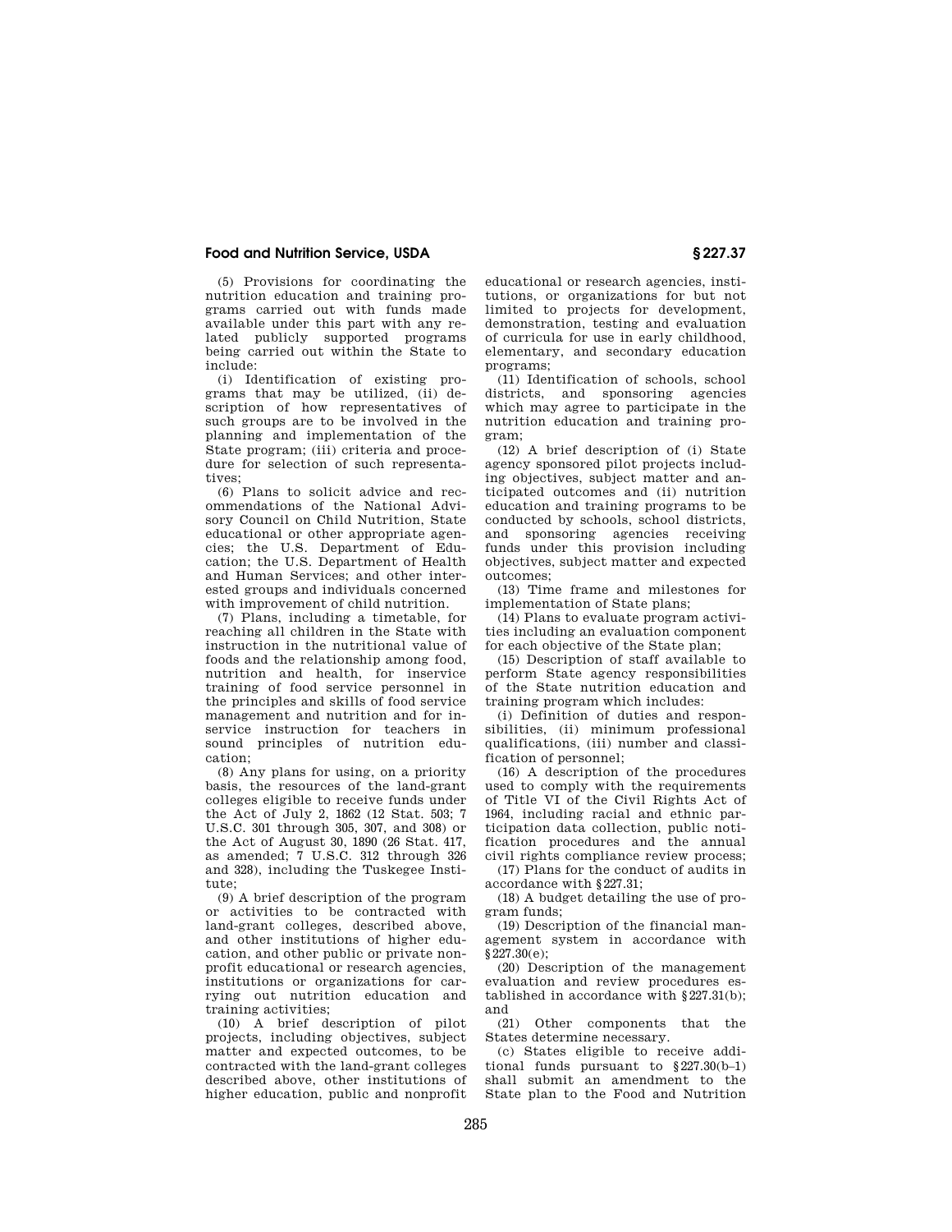## **Food and Nutrition Service, USDA § 227.37**

(5) Provisions for coordinating the nutrition education and training programs carried out with funds made available under this part with any related publicly supported programs being carried out within the State to include:

(i) Identification of existing programs that may be utilized, (ii) description of how representatives of such groups are to be involved in the planning and implementation of the State program; (iii) criteria and procedure for selection of such representatives;

(6) Plans to solicit advice and recommendations of the National Advisory Council on Child Nutrition, State educational or other appropriate agencies; the U.S. Department of Education; the U.S. Department of Health and Human Services; and other interested groups and individuals concerned with improvement of child nutrition.

(7) Plans, including a timetable, for reaching all children in the State with instruction in the nutritional value of foods and the relationship among food, nutrition and health, for inservice training of food service personnel in the principles and skills of food service management and nutrition and for inservice instruction for teachers in sound principles of nutrition education;

(8) Any plans for using, on a priority basis, the resources of the land-grant colleges eligible to receive funds under the Act of July 2, 1862 (12 Stat. 503; 7 U.S.C. 301 through 305, 307, and 308) or the Act of August 30, 1890 (26 Stat. 417, as amended; 7 U.S.C. 312 through 326 and 328), including the Tuskegee Institute;

(9) A brief description of the program or activities to be contracted with land-grant colleges, described above, and other institutions of higher education, and other public or private nonprofit educational or research agencies, institutions or organizations for carrying out nutrition education and training activities;

(10) A brief description of pilot projects, including objectives, subject matter and expected outcomes, to be contracted with the land-grant colleges described above, other institutions of higher education, public and nonprofit

educational or research agencies, institutions, or organizations for but not limited to projects for development, demonstration, testing and evaluation of curricula for use in early childhood, elementary, and secondary education programs;

(11) Identification of schools, school districts, and sponsoring agencies which may agree to participate in the nutrition education and training program;

(12) A brief description of (i) State agency sponsored pilot projects including objectives, subject matter and anticipated outcomes and (ii) nutrition education and training programs to be conducted by schools, school districts, and sponsoring agencies receiving funds under this provision including objectives, subject matter and expected outcomes;

(13) Time frame and milestones for implementation of State plans;

(14) Plans to evaluate program activities including an evaluation component for each objective of the State plan;

(15) Description of staff available to perform State agency responsibilities of the State nutrition education and training program which includes:

(i) Definition of duties and responsibilities, (ii) minimum professional qualifications, (iii) number and classification of personnel;

(16) A description of the procedures used to comply with the requirements of Title VI of the Civil Rights Act of 1964, including racial and ethnic participation data collection, public notification procedures and the annual civil rights compliance review process;

(17) Plans for the conduct of audits in accordance with §227.31;

(18) A budget detailing the use of program funds;

(19) Description of the financial management system in accordance with  $$227.30(e):$ 

(20) Description of the management evaluation and review procedures established in accordance with §227.31(b); and

(21) Other components that the States determine necessary.

(c) States eligible to receive additional funds pursuant to §227.30(b–1) shall submit an amendment to the State plan to the Food and Nutrition